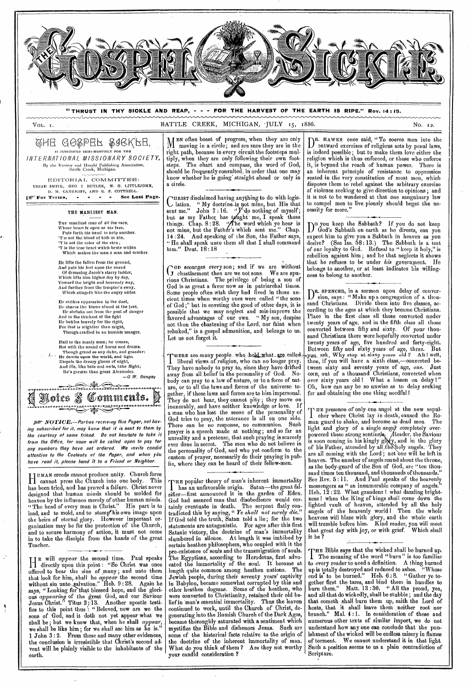

H UMAN creeds cannot produce unity. Church force cannot press the Church into one body. This has been tried, and has proved a failure. Christ never designed that human minds should be molded for heaven by the influence merely of other human minds. " The head of every man is Christ." His part is to lead, and to mold, and to stamp'his own image upon the heirs of eternal glory. However important organization may be for the protection of the Church, and to secure harmony of action, it must not come in to take the disciple from the hands of the great Teacher.

He will *appear* the second- time. Paul speaks<br>directly upon this point: "So Christ was once directly upon this point : "So Christ was once offered to bear the sins of many ; and unto them that look for him, shall he *appear* the second time without sin unto-galvation." Heb. 9:28. Again he says, " Looking for that blessed hope, and the glorious *appearing* of the great God, and our Saviour Jesus Christ." Titus 2;13. Another apostle testifies to this point thus : "Beloved, now are we the sons of God, and it doth not yet appear what we shall be; but we know that, when he shall *appear,*  we shall be like him ; for we shall see him as he is." 1 John 3 : 2. From these and many other evidences, the conclusion is irresistible that Christ's second advent will be plainly visible to the inhabitants of the earth.

HE popular theory of man's inherent immortality has an unfavorable origin. Satan—the great falsifier—first announced it in the garden of Eden. God had assured man that disobedience would certainly eventuate in death. The serpent flatly contradicted this by saying, " *Ye shall not surely die."*  If God told the truth, Satan told a lie; for the two statements are antagonistic. For ages after this first Satanic victory, the doctrine of man's immortality slumbered in silence. At length it was imbibed by certain heathen philosophers, who coupled with it the pre-existence of souls and the transmigration of souls. The Egyptians, according to Herodotus, first advocated the immortality of the soul. It became at length quite common among heathen nations. The Jewish people, during their seventy years' captivity in Babylon, became somewhat corrupted by this and other heathen dogmas. Some of the heathen, who were converted to Christianity, retained their old belief in man's essential immortality. Thus the leaven continued to work, until the Church of Christ, degenerating into the Romish Church of the Dark Ages, became thoroughly saturated with a sentiment which mystifies the Bible and dishonors Jesus. Such are some of the historical facts relative to the origin of the doctrine of the inherent immortality of man. What do you think of them ? Are they not worthy your candid consideration ?

sand times ten thousand, and thousands of thousands." See Rev. 5 : 11. And Paul speaks of the heavenly messengers as " an innumerable company of angels." Heb. 12:22. What grandenr ! what dazzling brightness ! when the King of kings shall come down the lighted vault of heaven, attended by all the holy angels of the heavenly world I Then the whole heavens will blaze with glory, and the whole earth will tremble before him. Kind reader, you will meet that great day with joy, or with grief. Which shall it be ?

The *meaning* of the word " burn" is too familiar HE Bible *says* that the wicked shall be burned up. to every reader to need a definition. A thing burned up is totally destroyed and reduced to ashes. "Whose up is totally destroyed and rednced to ashes. "Whose end is to be burned." Heb.  $6:8.$  "Gather ye together first the tares, and bind them in bundles to burn them." Matt. 13 : 30. " All the proud, yea, and all.that do wickedly, shall be stubble ; and the day that cometh shall burn them up, saith the Lord of hosts, that it shall leave them neither root nor branch." Mal. 4 :1. In consideration of these and numerous other texts of similar import, we do not understand how *any* one can conclude that the punishment of the wicked will be endless misery in flames of torment. We cannot understand it in that light. Such a position seems to us a plain contradiction of Scripture.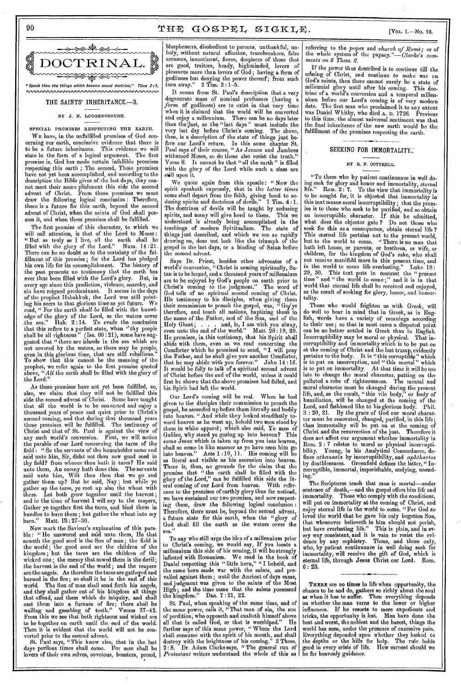# $90 \t\t THE GOSPEL SIGKLE.$   $(Var. 1.–No. 12.$



## THE SAINTS' INHERITANCE.-3.

#### BY J. N. LOUGHBOROUGH.

SPECIAL PROMISES RESPECTING THE EARTII. WE have, in the unfulfilled promises of God concerning our earth, conclusive evidence that there is to be a future inheritance. This evidence we will state in the form of a logical argument. The first premise is, God has made certain infallible promises respecting this earth ; The second, These promises have not yet been accomplished, and according to the description the Bible gives of the last days, they cannot meet their accon.plishinent this side the second advent of Christ. From these premises we must draw the following logical conclusion : Therefore, there is a future for this earth, beyond the second advent of Christ, when the saints of God shall possess it, and when these promises shall be fulfilled.

The first promise of this character, to which we will call attention, is that of the Lord to Moses: "But as truly as I live, all the earth shall be filled with the glory of the Lord." Num. 14 :21. There can be no doubt as to the certainty of the fulfillment of this promise; for the Lord has pledged<br>his own life for its accomplishment. The history of his own life for its accomplishment. the past presents no testimony that the earth has ever thus been filled with the Lord's glory. But, in every age since this prediction, violence, anarchy, and sin have reigned predominant. It seems in the days of the prophet Habakkuk, the Lord was still pointing his seers to that glorious time as yet future. We read, " For the earth *shall be* filled with the knowledge of the glory of the Lord, as the waters cover .the sea."  $\overline{H}$ ab. 2:14. To evade the conclusion that this refers to a perfect state, when "thy people shall be all righteous " (Isa. 60 : 21), some have suggested that " there are islands in the sea which are not covered by the waters, so there may be people, even in.this glorious time, that are still rebellious." To show that this cannot be the meaning of the prophet, we refer again to the first promise quoted above, "All the earth shall be filled with the glory of the Lord."

As these promises have not yet been fulfilled, so, also, we claim that they will not be fulfilled this side the second advent of Christ. Some have taught that all the world is to be converted and enjoy a thousand years of peace and quiet prior to Christ's second coming, and that during that thousand years these promises will be fulfilled. The testimony of Christ and that of St. Paul is against the view of any such world's conversion. First, we will notice the parable of our Lord concerning the tares of the field : " So the servants of the householder came and said unto him, Sir, didst not thou sow good seed in thy field? from whence then hath it tares? He said unto them, An enemy hath done this. The servants unto them, An enemy hath done this. said unto him, Wilt thou then that we go and gather them up? But he said, Nay ; lest while ye gather up the tares, ye root up also the wheat with them. Let both grow together until the harvest; them. Let both grow together until the harvest;<br>and in the time of harvest I will say to the reapers, Gather ye together first the tares, and bind them in bundles to burn them ; but gather the wheat into my barn." Matt. 18 : 27-30.

Now mark the Saviour's explanation of this parable : " He answered and said unto them, He that soweth the good seed is the Son of man ; the field is the world ; the good seed are the children of the kingdom ; but the tares are the children of the wicked one ; the enemy that sowed them is the devil; the harvest is the end of the world ; and the reapers are the angels. As therefore the tares are gathered and burned in the fire; so shall it be in the end of this world. The Son of man shall send forth his angels, and they shall gather out of his kingdom all things that offend, and them which do iniquity, and shall cast them into a furnace of fire; there shall be wailing and gnashing of teeth." Verses 37-42. From this we see that both righteous and wicked are to be together on earth until the end of the world. Then it is evident that the world will not be converted prior to the second advent.

St. Paul *says, "* This know also, that in the last days perilous times shall come. For men shall be lovers of their own selves, covetous, boasters, proud,

•

blasphemers, disobedient to parents, unthankful, unholy, without natural affection, trucebreakers, false accusers, incontinent, fierce, despisers of those that are good, traitors, heady, highminded, lovers of pleasures more than lovers of God ; having *a* form of godliness but denying the power thereof; from such  $\ti{turn away."}$  2  $\ti{Tim.}$  3 : 1-5.

It seems from St. Paul's description that a very degenerate mass of nominal professors (having a *form* of godliness) are to exist in that very time when it is claimed that the world will be converted and enjoy a millennium. There can be no days later than the last, so the "last days" must include the very last day before Christ's coming. The above, very last day before Christ's coming. The above, then, is a description of the state of things just before our Lord's return. In this same chapter St. Paul says of their course, "As Jannes and Jambres withstood Moses, so do these also resist the truth." Verse 8. It cannot be that "all the earth" is filled with the glory of the Lord while such a class are still upon it.

We quote again from this apostle: "Now the spirit speaketh expressly, that in the *latter times*  some shall depart from the faith, giving heed to seducing spirits and doctrines of devils." 1 Tim. 4 :1. The doctrines of devils will be taught by seducing spirits, and many will give heed to them. This we understand is already being accomplished in the teachings of modern Spiritualism. The state of things just described, and which we see so rapidly drawing on, does not look like the triumph of the gospel in the last days, or a binding of Satan before the second advent.

Says Dr. Priest, besides other advocates of a world'g conversion, "Christ is coming spiritually, Satan is to be bound, and a thousand years of millennium are to be enjoyed by God's people on earth prior to Christ's coming to the judgment." The word of God tells of no spiritual second coming of Christ. His testimony to his disciples, when giving them their commission to preach the gospel, was, " Go/ye therefore, and teach all nations, baptizing them in the name of the Father, and of the Son, and of the Holy Ghost; . . . and, lo, I am with you alway, even unto the end of the world." Matt. 28 :19, 20. He promises, in this testimony, that his Spirit shall abide with them, even as we read concerning the Comforter which he promised to send, "I will pray the Father, and he shall give you another Comforter, that he may abide with you forever." John 14 :16. It would be *folly* to talk of a spiritual second advent of Christ before the end of the world, unless it could first be shown that the above promises had failed, and his Spirit had left the world.

Our Lord's coming will be real. When he had given to the disciples their commission to preach the gospel, he ascended up before them literally and bodily into heaven. " And while they looked steadfastly toward heaven as he went up, behold two men stood by them in white apparel; which also said, Ye men of Galilee, why stand ye gazing up into heaven? This *same* Jesus which is taken up from you into heaven, shall so come in like manner as ye have seen him go into heaven." Acts 1 :10, 11. His coming will be as literal and visible as his ascension into heaven. There is, then, no grounds for the claim that the promise that " the earth shall be filled with the glory of the Lord," can be fulfilled this side the literal coming of our Lord from heaven. With reference to the promises of earthly glory thus far noticed, we have sustained our two premises, and now respect. ing them, draw the following logical conclusion : Therefore, there must be, beyond the second advent, a future state for this earth, when the "glory of God shall fill the earth as the waters cover the sea."

To any who still urge the idea of a millennium prior to Christ's coming, we would say, If you locate a millennium this side of his coming, it will be strongly infected with Romanism. We read in the book of Daniel respecting this " little horn," " I beheld, and the same horn made war with the saints, and prevailed against them; until the Ancient of days came, and judgment was given to the saints of the Most High; and the time came that the saints possessed the kingdom." Dan. 7 : 21, 22.

St. Paul, when speaking of the same time, and of the same power, calls it, "That man of sin, the son of perdition; who opposeth and exalteth himself above all that is called God, or that is worshiped." He further *says* of this same power, " Whom the Lord shall consume with the spirit of his mouth, and shall destroy with the brightness of his coming." 2 Thess. Dr. Adam Clarke says, "The general run of *Protestant* writers understand the whole of this as

referring to the *popes* and *church of Rome;* or of the whole system of the papacy."— *Clarke's com-ments on 2 Thess. 2.* 

If the power thus described is to continue till the echning of Christ, and continue to make war on God's saints, then there cannot surely be a state of millennial glory until after his coming. This doctrine of a world's conversion and a temporal millennium before our Lord's coming is of very modern date. The first man who proclaimed it to any extent was Daniel Whitby, who died A. D. 1726. Previous to this time, the almost universal sentiment was that the final inheritance of the new earth would be the fulfillment of the promises respecting the earth.

# SEEKING FOR IMMORTALITY.

## BY R. F. COTTRELL.

"To them who by patient continuance in well doing seek for glory and honor and immortality, eternal Rom.  $2:7$ . To the view that immortality is to be sought for, it is objected that immortality in' this text means moral incorruptibility; that the promise is to those who seek to be purified, and so obtain an incorruptible character. If this be admitted, what does the objector gain ? Do not those who seek for this as a consequence, obtain eternal life ? This eternal life pertains not to the present world, but to the world to come. " There is no man that bath left house, or parents, of brethren, or wife, or children, for the kingdom of God's sake, who shall not receive manifold more in this present time, and in the world to come life everlasting." Luke  $18$ : 29, 30. This text puts in contrast the " present time " and " the world to come ;" and it is in that world that eternal life shall be received and enjoyed, as the result of seeking for glory, honor, and immortality.

Those who would frighten us with Greek, will do well to bear in mind that in Greek, as in English, words have a variety of meanings according to their use; so that in most cases a disputed point can be no better settled in Greek than in English. Incorruptibility may be moral or physical. That incorruptibility and immortality which is to be put on at the coming of Christ and the last trump, evidently pertains to the body. Lt is "this corruptible" which is to put on incorruption, and " this mortal " which is to put on immortality. At that time it will be too late to change the moral character, putting on the polluted a robe of righteousness. The mental, and moral character must be changed during the present life, and, as the result, "this vile body," or body of humiliation, will be changed at the coming of the Lord, and fashioned like to his glorious body. Phil. 3 : 20, 21. By the grace of God our moral character must be renovated, changed, purified, in this life; then immortality will be put on at the coming of Christ and the resurrection of the just. Therefore it does not affect our argument whether immortality in Rom. 2 : 7 relates to moral or physical incorruptibility. Young, in his Analytical Concordance, defines *athanasia* by incorruptibility, and *aphthartos*  by deathlessness. Greenfield defines the latter, " Incorruptible, immortal, imperishable, undying, unending."

The Scriptures teach that man is mortal—under sentence of death,—and the gospel offers him life and immortality. Those who comply with the conditions, will put on immortality at the coming of Christ, and enjoy eternal life in the world to come. "For God so loved the world that he gave his only begotten Son, that whosoever believeth in him should not perish, but have everlasting life." This is plain, and in every way consistent, and it is vain to resist the evidence by any sophistry. Those, and those only, who, by patient continuance in well doing seek for immortality, will receive the gift of God, which is eternal life, through Jesus Christ our Lord. Rom. 6 : 23.

THERE are no times in life when opportunity, the chance to be and do, gathers so richly about the soul as when it has to suffer. Then everything depends on whether the man turns to the lower or higher influences. If he resorts to mere expedients and tricks, the opportunity is lost. Men have done the tricks, the opportunity is lost. best and worst, the noblest and the basest, things the world has seen, under the pressure of excessive pain. Everything depended upon whether they looked to the depths or the hills for help. The rule holds good in every crisis of life. How earnest should we be for heavenly guidance.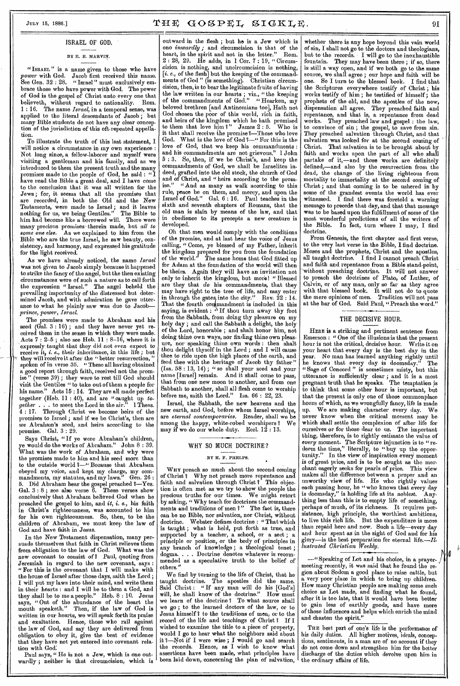## ISRAEL OF GOD.

## BY E. E. MARVIN.

"ISRAEL" is a name given to those who have *power* with God. Jacob first received this name. See Gen. 32 : 28. " Israel " must exclusively embrace those who have power with God. The power of God is the gospel of Christ unto every one that believeth, without regard to nationality. Rom. 1 : 16. The name *Israel,* in a temporal sense, was applied to the literal descendants of Jacob; but many Bible students do not have any clear conception of the jurisdiction of this oft-repeated appellation.

To illustrate the truth of this last statement, I will notice a circumstance in my own experience : Not long since, a fellow-laborer and myself were visiting a gentleman and his family, and as we introduced to them the present truth and the many promises made to the people of God, he said : " I have read .the Bible a great deal, and I have come to the conclusion that it was all written for the Jews ; for, it seems that all the promises that are recorded, in both the Old and the New Testaments, were made to Israel ; and it leaves nothing for us, we being Gentiles." The Bible to him had become like a borrowed will. There were many precious promises therein made, but *all to some one else.* As we explained to him from the *some one else.* As we explained to him from the some one case. As we capacities in beauty, con-<br>Bible who are the true Israel, he saw beauty, consistency, and harmony, and expressed his gratitude for the light received.

As we have already noticed, the name *Israel*  was not given to Jacob simply because it happened to strike the fancy of the angel, but the then existing circumstances were of such a nature as to call forth the expression "Israel." The angel beheld the prevailing importunity of the distressed but determined Jacob, and with admiration he gave utterance to what he plainly saw was due to Jacob- $\emph{prince, power, Israel.}$ 

The promises were made to Abraham and his seed (Gal. 3 : 16) ; and they have never yet received them in the sense in which they were made. Acts  $7:2-5$ ; also see Heb.  $11:8-16$ , where it is 'expressly taught that they did not even expect to receive it, *i.e.*, their inheritance, in this life; but they will receive it often the "better resurrection" they will receive it after the " better resurrection," spoken of in verse 35. " These all having obtained a good report through faith, received not the prom-(verse 39); they were to rest till God should visit the Gentiles " to take out of them a people for his name." Acts 15 : 14. They are all made perfect together (Heb. 11 : 40), and are "caught up *together*  $\ldots$  is to meet the Lord in the air." 1 Thess. 4 : 17. Through Christ we become heirs of the promises to Israel ; and if we be Christ's, then are *we* Abraham's seed, and heirs according to the promise. Gal. 3 : 29.

Says Christ, " If ye were Abraham's children, ye would do the works of Abraham." John 8 : 39. What was the work of Abraham, and why were the promises made to him and his seed more than to the outside world 1—" Because that Abraham obeyed my voice, and kept my charge, my com-<br>mandments, my statutes, and my laws." Gen. 26: mandments, my statutes, and my laws. 5. Did Abraham hear the gospel preached *?*—Yes. Gal. 3 : 8 ; see also verse 6. These verses show conclusively that Abraham believed God when he preached the gospel to him, and *it, i. e.,* his faith in Christ's righteousness, was accounted to him for his own righteousness. So, then, to be the children of Abraham, we must keep the law of God and have faith in Jesus.

In the New Testament dispensation, many persuade themselves that faith in Christ relieves them from obligation to the law of God. What was the new covenant to consist *of ?* Paul, quoting from Jeremiah in regard to the new covenant, says : " For this is the covenant that I will make with the house of Israel after those days, saith the Lord; I will put my laws into their mind, and write them in their hearts : and I will be to them a God, and they shall be to me a people." Heb. 8 : 10. Jesus says, "Out of the abundance of the heart the mouth speaketh." Then, if the law of God is written in our hearts, we will speak forth its praise and exaltation. Hence, those who rail against the law of God, and say they are delivered from obligation to obey it, give the best of evidence that they have not yet entered into covenant relation with God.'

Paul says, " He is not a Jew, which is one outwardly ; neither is that circumcision, which is

July 15, 1886.]  $\textbf{T} \boxplus \textbf{F}$   $\textbf{G} \textbf{O} \textbf{S} \textbf{P} \textbf{E} \textbf{L}$   $\textbf{S} \textbf{I} \textbf{G} \textbf{K} \textbf{L} \textbf{E}$ . 91

outward in the flesh ; but he is a Jew which is ono *inwardly ;* and circumcision is that of the heart, in the spirit and not in the letter." Rom. 2 : 28, 29. He adds, in 1 Con 7 : 19, " Circumcision is nothing, and uncircumcision is nothing, *[i. e.,* of the flesh] but the keeping of the commandments of God " (is something). Christian circumcision, then, is to bear the legitimate fruits of having the law written in our hearts ; viz., " the keeping of the commandments of God." "Hearken, my beloved brethren [and Antinomians too], Hath not God chosen the poor of this world, rich in faith, and heirs of the kingdom which he bath promised to them that love him ?" James  $2:5$ . Who is it that shall receive the promise?—Those who love God. What is the love of God 7—" For this is the love of God, that we keep his commandments: and his commandments are not grievous." 1 John 5 : 3. So, then, if we be Christ's, and keep the commandments of God, we shall be Israelites indeed, grafted into the old stock, the church of God and of Christ, and "heirs according to the prom-"And as many as walk according to this rule, peace be on them, and mercy, and upon the Israel of God." Gal. 6 : 16. Paul teaches in the sixth and seventh chapters of Romans, that the old man is slain by means of the law, and that in obedience to its precepts a new creature is developed.

Oh that men would comply with the conditions of the promise, and at last hear the voice of Jesus calling, " Come, ye blessed of my Father, inherit the kingdom prepared for you from the foundation of the world." The same home that God fitted up for Adam at the foundation of the world will then be theirs. Again they will have an invitation not only to inherit the kingdom, but more! " Blessed are they that *do* his commandments, that they may have right to the tree of life, and may enter in through the gates, into the city." Rev.  $22:14$ . That the fourth contmandment is included in this saying, is evident :  $\alpha$  If thou turn away thy foot from the Sabbath, from doing thy pleasure on my holy day ; and call the Sabbath a delight, the holy of the Lord, honorable ; and shalt honor him, not doing thine own ways, nor finding thine own pleasure, nor speaking thine own words : then shalt thou delight thyself in the Lord ; and I will cause thee to ride upon the high places of the earth, and feed thee with the heritage of Jacob thy father "  $(Isa. 58: 13, 14)$ ; "so shall your seed and your ame [Israel] remain. And it shall come to pass, that from one new moon to another, and from one Sabbath to another, shall all flesh come to worship before me, saith the Lord." Isa. 66 : 22, 23.

Israel, the Sabbath, the new heavens and the new earth, and God, before whom Israel worships, are *eternal contemporaries.* Reader, shall we be among the happy, white-robed worshipers ? We may if we do our whole duty. Eccl.  $12:13$ .

## WHY SO MUCH DOCTRINE?

#### BY H. F. PHELPS.

WHY preach so much about the second coming<br>of Christ? Why not preach more repentance and Why not preach more repentance and<br>alvation through Christ ? This objecfaith and salvation through Christ? tion is often met as we try to show the people the precious truths for our times. We might retort by asking, " Why teach for doctrines the commandments and traditions of men ?" The fact is, there can be no Bible, nor salvation, nor Christ, without Webster defines doctrine : "That which is taught ; what is held, put forth as true, and supported by a teacher, a school, or a sect ; a principle or position, or the body of principles in any branch of knowledge ; a theological tenet ; dogma. . . . Doctrine denotes whatever is recommended as a speculative truth to the belief of others."

We find by turning to the life of Christ, that he taught doctrine. The apostles did the same. Said Christ: "If any man will do his [God's] will, he shall know of the doctrine." How must we learn of the doctrine 7 To what source shall we go ; to the learned doctors of the law, or to Jesus himself ? to the traditions of men, or to the record of the life and teachings of Christ ? If I wished to examine the title to a piece of property, would I go to hear what the neighbors said about it 7—Not if I were wise ; I would go and search the records. Hence, as I wish to know what assertions have been made, what principles have been laid down, concerning the plan of salvation,

whether there is any hope beyond this vain world of sin, I shall not go to the doctors and theologians, but to the records. I will go to the inexhaustible fountain. They may have been there ; if so, there is still a way open, and if we both go to the same source, we shall agree ; our hope and faith will be one. So I turn to the blessed book. I find that the Scriptures everywhere testify of Christ ; his works testify of him; he testified of himself; the prophets of the old, and the apostles of the new, dispensation all agree. They preached faith and repentance, and that is, a repentance from dead They preached law and gospel : the law, to convince of sin ; the gospel, to save from sin. They preached salvation through Christ, and that salvation was looked for at the second coming of Christ. That salvation is to be brought about by faith and works upon the part of all who shall partake of it,—and those works are definitely defined,—and also by the resurrection from the dead, the change of the living righteous from mortality to immortality at the second coming of Christ ; and that coming is to be ushered in by some of the grandest events the world has ever witnessed. I find there was foretold a warning message to precede that day, and that that message was to be based upon the fulfillment of some of the most wonderful predictions of all the writers of the Bible. In fact, turn where I may, I find doctrine.

From Genesis, the first chapter and first verse, to the very last verse in the Bible, I find doctrine. Moses and the prophets, Christ and the apostles, all taught doctrine. I find I cannot preach Christ and faith and repentance from a Bible stand-point, without preaching doctrine. It will not answer to preach the doctrines of Plato, of Luther, of Calvin, or of any man, only so far as they agree with that blessed book. It will not do to quote the mere opinions of men. Tradition will not pass the mere opinions of men. Tradition will not pass at the bar of God. Said Paul, "Preach the word."

#### THE DECISIVE HOUR.

HERE is a striking and pertinent sentence from Emerson : " One of the illusions is that the present hour is not the critical, decisive hour. Write it on your heart that every day is the best day in the year. No man has learned anything rightly until he knows that every day is doomsday." The "Sage of Concord " is sometimes misty, but this utterance is sufficiently clear ; and it is a most pregnant truth that he speaks. The temptation is to think that some other hour is important, but that the present is only one of those commonplace hours of which, as we wrongfully fancy, life is made up. We are making character every day. We never know when the critical moment may be which shall settle the complexion of after life for ourselves or for those dear to us. The important thing, therefore, is to rightly estimate the value of *every* moment. The Scripture injunction is to "redeem the time," literally, to " buy up the opportunity." In the view of inspiration every moment is of great price, and is to be sought as the merchant eagerly seeks for pearls of price. This view makes all the difference between a proper and an unworthy view of life. He who rightly values each passing hour, he "who knows that every day is doomsday," is holding life at its noblest. Anything less than this is to empty life of something, perhaps of much, of its richness. It requires persistence, high principle, the worthiest ambitions, to live this rich life. But the expenditure is more than repaid here and now. Such a life—every day and hour spent as in the sight of God and for his glory—is the best preparation for eternal *life.—Illustrated Christian Weekly.* 

—"Speaking of Lot and his choice, in a prayermeeting recently, it was said that ho found the region about Sodom a good place to raise cattle, but a. very poor place in which to bring up children. How many Christian people are making some such choice as Lot made, and finding what he found, after it is too late, that it would have been better to gain less of earthly goods, and have more of those influences and helps which enrich the mind and chasten the spirit."

 $\downarrow$ Io.

THE best part of one's life is the performance of his daily duties. All higher motives, ideals, conceptions, sentiments, in a man are of no account if they do not come down and strengthen him for the better discharge of the duties which devolve upon him in the ordinary affairs of life.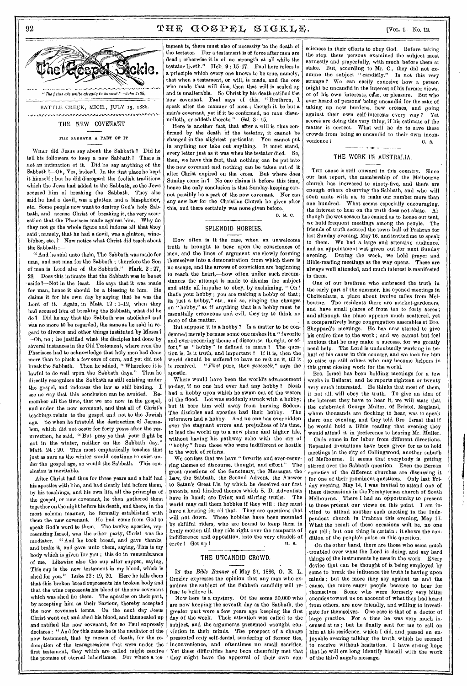# 92  $THF GOSPEL SIGKLE$ . [VOL. 1.-No. 12.



THE NEW COVENANT

THE SABBATH A PART OF IT

WHAT did Jesus say about the Sabbath ? Did he tell his followers to keep a new Sabbath? There is not an intimation of it. Did he say anything of the Sabbath ?- Oh, Yes, indeed. In the first place he kept it himself ; but he did disregard the foolish traditions which the Jews had added to the Sabbath, so the Jews accused him of breaking the Sabbath. They also said he had a devil, was a glutton and a blasphemer, etc. Some people now want to destroy God's holy Sabbath, and accuse Christ of breaking it, the very accusation that the Pharisees made against him. Why do they not go the whole figure and indorse all that they said ; namely, that he had a devil, was a glutton, winebibber, etc. ? Now notice what Christ did teach about the Sabbath :—

" And he said unto them, The Sabbath was made for man, and not man for the Sabbath ; therefore the Son of man is Lord also of the Sabbath." Mark. 2 : 27, 28. Does this intimate that the Sabbath was to be sot aside ?- Not in the least. He says that it was made for man, hence it should be a blessing to him. He claims it for his own day by saying that he was the Lord of it. Again, in Matt. 12 : 1-12, when they had accused him of breaking the Sabbath, what did he do ? Did he say that the Sabbath was abolished and was no more to be regarded, the same as he said in regard to divorce and other things instituted by Moses? —Oh, no ; he justified what the disciples had done by several instances in the Old Testament, where even the Pharisees had to acknowledge that holy men had done more than to pluck a few ears of cern, and yet did not break the Sabbath. Then he added, " Wherefore it is lawful to do well upon the Sabbath days." Thus he directly recognizes the Sabbath as still existing under the gospel, and indorses the law as still binding. I see no way that this conclusion can be avoided. Resee no way that this conclusion can be avoided. member all the time, that we are now in the gospel, and under the now covenant, and that all of Christ's teachings relate to the gospel and not to the Jewish age. So when he foretold the destruction of Jerusalem, which did not occur for forty years after the resurrection, he said, "But pray ye that your flight be not in the winter, neither on the Sabbath day." Matt. 24 : 20. This most emphatically teaches that just as sure as the winter would continue to exist under the gospel age, so would the Sabbath. This conclusion is inevitable.

After Christ had thus for three years and a half had his apostles with him, and had clearly laid before them, by his teachings, and his own life, all the principles of the gospel, or new covenant, he then gathered them together on the night before his death, and there, in the most solemn manner, he formally established with them the new covenant. He had come from God to speak God's word to them. The twelve apostles, representing Israel, was the other party, Christ was the mediator. " And he took bread, and gave thanks, and brake it, and gave unto them, saying, This is my body which is given for you ; this do in remembrance of me. Likewise also the cup after supper, saying, This cup is the now testament in my blood, which is shed for you." Luke 22 : 19, 20. Here he tells them that this broken bread represents his broken body and that the wine represents his blood of the new covenant which was shed for them. The apostles on their part, by accepting him as their Saviour, thereby accepted the new covenant terms. On the next day Jesus Christ went out and shed his blood, and thus sealed up and ratified the new covenant, for so Paul expressly declares : " And for this cause he is the mediator of the new testament, that by means of death, for the redemption of the transgressions that were under the first testament, they which are called might receive the promise of eternal inheritance. For where a tes-

tament is, there must also of necessity be the death of the testator. For a testament is of force after men are dead ; otherwise it is of no strength at all while the testator liveth." Heb. 9 : 15-17. Paul here refers to a principle which every one knows to be true, namely, ' that when a testament, or will, is made, and the one who made that will dies, then that will is sealed up and is unalterable. So Christ by his death ratified the new covenant. Paul says of this, " Brethren, I speak after the manner of men ; though it be but a man's covenant, yet if it be confirmed, no man disannulleth, or addeth thereto."

Here is another fact, that after a will is thus confirmed by the death of the testator, it cannot be changed in the slightest particular. You cannot put in anything nor take out anything. It must stand, every letter just as it was when the testator died. So, then, we have this fact, that nothing can be put into the new covenant and nothing can be taken out of it after Christ expired on the cross. But where does Sunday come in ? No one claims it before this time, hence the only conclusion is that Sunday-keeping cannot possibly be a part of the new covenant. Nor can any new law for the Christian Church be given after this, and there certainly was none given before. D. N. C.

# SPLENDID HOBBIES.

How often is it the case, when an unwelcome truth is brought to bear upon the consciences of men, and the lines of argument are slowly forming themselves into a demonstration from which there is no escape, and the arrows of conviction are beginning to reach the heart,-how often under such circumstances the attempt is made to dismiss the subject and stifle all impulse to obey, by exclaiming, " Oh ! that's your hobby ; you are making a hobby of that ; its just a hobby," etc., and so, ringing the changes on "hobby," as if anything that is a hobby must be essentially erroneous and evil, they try to think no more of the matter.

But suppose it is a hobby ? Is a matter to be condemned merely because some one makes it a "favorite and ever-recurring theme of discourse, thought, or effort," as "hobby" is defined to mean ? The question is, Is it truth, and important ? If it is, then the world should be suffered to have no rest on it, till it is received. *"First* pure, then *peaceable,"* says the apostle.

Where would have been the world's advancement to-day, if no one had ever had any hobby ? Noah had a hobby upon which he swam out of the waters of the flood. Lot was suddenly struck with a hobby; but it bore him well away from burning Sodom.<br>The disciples and apostles had their hobby. The The disciples and apostles had their hobby. reformers had a hobby. And no one has ever ridden over the stagnant errors and prejudices of his time, to lead the world up to a new plane and higher life, without having his pathway echo with the cry of " hobby " from those who were indifferent or hostile to the work of reform.

We confess that we have "favorite and ever-recurring themes of discourse, thought, and effort." The great questions of the Sanctuary, the Messages, the Law, the Sabbath, the Second Advent, the Answer to Satan's Great Lie, by which he deceived our first parents, and kindred themes which S. D. Adventists have in hand, are living and stirring truths. The world may call them hobbies if they will ; they must have a hearing for all that. They are questions that will not down. These hobbies have been mounted by skillful riders, who are bound to keep them in lively motion till they ride right over the ramparts of indifference and opposition, into the very citadels of error ! Get up ! U. s.

# THE UNCANDID CROWD.

Ix the *Bible Banner* of May 27, 1886, 0. R. L. Crozier expresses the opinion that any man who examines the subject of the Sabbath candidly will refuse to believe it.

Now here is a mystery. Of the some 30,000 who are now keeping the seventh day as the Sabbath, the greater part were a few years ago keeping the first day of the week. Their attention was called to the subject, and the arguments presented wrought conviction in their minds. The prospect of a change presented only self-denial, sundering of former ties, inconvenience, and oftentimes no small sacrifice. Yet these difficulties have been cheerfully met that they might have the approval of their own con-

sciences in their efforts to obey God. Before taking the step, these persons examined the subject most earnestly and prayerfully, with much before them at stake. But according to Mr.  $C$ , they did not ex-But, according to Mr. C., they did not examine the subject "candidly." Is not this very strange ? We can easily conceive how a person might be uncandid in the interest of his former views, or of his own interests, ease, or pleasure. But who ever heard of persons' being uncandid for the sake of taking up new burdens, new crosses, and going against their own self-interests every way ? Yet scores are doing this very thing, if his estimate of the matter is correct. What will he do to save these crowds from being so uncandid to their own inconvenience ? U. S.

# THE WORK IN AUSTRALIA.

THE cause is still onward in this country. Since our last report, the membership of the Melbourne church has increased to ninety-five, and there are enough others observing the Sabbath, and who will soon unite with us, to make our number more than one hundred. What seems especially encouraging, the interest to hear on the truth does not abate. Although the wet season has caused us to house our tent, we hold frequent meetings among the people. The friends of truth secured the town hall of Prahran for last Sunday evening, May 16, and invited me to speak to them. We had a large and attentive audience. We had a large and attentive audience, and an appointment was given out for next Sunday evening. During the week, we hold prayer and During the week, we hold prayer and Bible-reading meetings as the way opens. These are always well attended, and much interest is manifested in them.

One of our brethren who embraced the truth in the early part of the summer, has opened meetings in Cheltenham, a place about twelve miles from Melbourne. The residents there are market-gardeners, and have small places of from ten to forty acres ; and although the place appears much scattered, yet a comparatively large congregation assembles at Bro. Sheppard's meetings. He has now started to give his entire time to the work; and we cannot but feel anxious that he may make a success, for we greatly need help. The Lord is undoubtedly working in be-The Lord is undoubtedly working in behalf of his cause in this country, and we look for him to raise up still others who may become helpers in this great closing work for the world.

Bro. Israel has been holding meetings for a few weeks in Ballarat, and he reports eighteen or twenty very much interested. He thinks that most of them, if not all, will obey the truth, To give an idea of the interest they have to hear it, we will state that the celebrated George Muller, of Bristol, England, whom thousands are flocking to hear, was to speak there one evening, and they told Bro Israel that if he would hold a Bible reading that evening they would attend it in preference to hearing Mr. Muller.

Calls come in for labor from different directions. Repeated invitations have been given for us to hold meetings in the city of Collingwood, another suburb of Melbourne. It seems that everybody is getting stirred over the Sabbath question. Even the Berean societies of the different churches are discussing it for one of their prominent questions. Only last Friday evening, May 14, I was invited to attend one of these discussions in the Presbyterian church of South Melbourne. There I had an opportunity to present to those present our views on this point. I am invited to attend another such meeting in the Independent church in Prahran this evening, May 17. What the result of these occasions will be, no one can tell ; but one thing is certain : it shows the condition of the people's pulse on this question.

On the other hand, there are those who seem much troubled over what the Lord is doing, and say hard things of the instruments he uses in the work. Every device that can be thought of is being employed by some to break the influence the truth is having upon minds ; but the more they say against us and the cause, the more eager people become to hear for themselves. Some who were formerly very bitter enemies toward us on account of what they had heard from others, are now friendly, and willing to investigate for themselves. One case is that of a doctor of large practice. For a time he was very much incensed at us ; but he finally sent for me to call on him at his residence, which I did, and, passed an enjoyable evening talking the truth, which he seemed receive without hesitation. I have strong hope that he will ere long identify himself with the work of the third angel's message.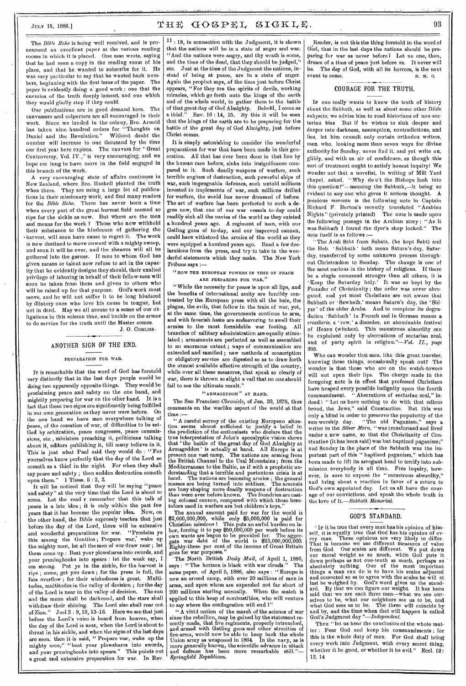# $J_{\text{ULY}}$  15, 1886.]  $\text{THE}$   $\text{GOSEEL}$   $\text{SIGKL}$ . 93

The *Bible Echo* is being well received, and is pronounced an excellent paper at the various reading rooms in which it is placed. One man wrote, saying that he had seen a copy in the reading room of his place, and that he wanted to subscribe for it. He was very particular to say that he wauted back numbers, beginning with the first issue of the paper. The paper is evidently doing a good work ; one that the enemies of the truth deeply lament, and one which they would gladly stop if they could.

Our publications are in good demand here. The canvassers and colporters are all encouraged in their work. Since we landed in the colony, Bro. Arnold has taken nine hundred orders for "Thoughts on Daniel and the Revelation." Without doubt the number will increase to one thousand by the time our first year here expires. The canvass for "Great Controversy, Vol. IV.," is very encouraging, and we hope ere long to have more in the field engaged in this branch of the work.

A very encouraging state of affairs continues in New Zealand, where Bro. Haskell planted the truth when there. They are using a large lot of publications in their missionary work, and find many readers for the *Bible Echo.* There has never been a time when every part of the great harvest field seemed so ripe for the sickle as now. But where are the men and means for the work ? Those who now withhold their substance to the hindrance of gathering the • harvest, will soon have cause to regret it. The work is now destined to move onward with a mighty sweep, and soon it will be over, and the sheaves will all be gathered into the garner. If men to whom God has given means or talent now refuse to act in the capac. ity that he evidently designs they should, their exalted privilege of laboring in behalf of their fellow-men will soou be taken from them and given to others who will be raised up for that purpose. God's work must move, and he will not suffer it to be long hindered by dilatory ones who love his cause in tongue, but not in deed. May we all arouse to a sense of our obligations in this solemn time, and buckle on the armor to do service for the truth until the Master comes. J. O. CORLISS.

## ANOTHER SIGN OF THE END.

#### PREPARATION FOR WAR.

IT is remarkable that the word of God has foretold very distinctly that in the last days people would be doing two apparently opposite things. They would be proclaiming peace and safety on the one hand, and mightily preparing for war on the other hand. It is a fact that these two signs are significantly being fulfilled in our own generation as they never were before. On the one hand we have men everywhere talking of peace, of the cessation of war, of difficulties to be settled by arbitration, peace congresses, peace commissions, etc., ministers preaching it, politicians talking about it, editors publishing it, till many believe in it, This is just what Paul said they would do : " For yourselves know perfectly that the day of the Lord so cometh as a thief in the night. For when they shall say peace and safety ; then sudden destruction cometh upon them." 1 Thess. 5 : 2, 3.

It will be noticed that they will be saying "peace and safety" at the very time that the Lord is about to come. Let the read r remember that this talk of peace is a late idea ; it is only within the past few years that it has become the popular idea. Now, on the other hand, the Bible expressly teaches that just before the day of the Lord, there will be extensive and wonderful preparations for war. "Proclaim ye this among the Gentiles ; Prepare war; wake up the mighty men, let all the men of war draw near ; let them come up : Beat your plowshares into swords, and your pruninghooks into spears : let the weak say, I am strong. Put ye in the sickle, for the harvest is ripe ; come, get you down ; for the press is full, the fats overflow ; for their wickedness is great. Multitudes, multitudes in the valley of decision ; for the day of the Lord is near in the valley of decision, The sun and the moon shall be darkened, and the stars shall withdraw their shining. The Lord also shall roar out of Zion." Joel 3 : 9, 10, 13-16. Here we see that just before the Lord's voice is heard from heaven, when the day of the Lord is near, when the Lord is about to thrust in his sickle, and when the signs of the last days are seen, then it is said, " Prepare war, wake up the mighty men," "beat your plowshares into swords, and your pruninghooks into spears." This points out a great and extensive preparation for war. In Rev.

11 : 18, in connection with the Judgment, it is shown that the nations will be in a state of anger and war. "And the nations were angry, and thy wrath is come, and the time of the dead, that they should be judged," etc. Just at the time of the Judgment the nations, instead of being at peace, are in a state of anger. Again the prophet says, of the time just before Christ appears, "For they are the spirits of devils, working miracles, which go forth unto the kings of the earth and of the whole world, to gather them to the battle of that great day of God Almighty. Behold, I come as Rev.  $16 : 14$ ,  $15$ . By this it will be seen that the kings of the earth are to be preparing for the battle of the great day of God Almighty, just before Christ comes.

It is simply astonishing to consider the wonderful preparations for war that have been made in this generation. All that has ever been done in that line by the human race before; sinks into insignificance compared to it. Such deadly weapons of warfare, such terrible engines of destruction, such powerful ships of war, such impregnable defenses, such untold millions invested in implements of war, such millions drilled for warfare, the world has *never* dreamed of before. The art of warfare has been perfected to such a degree now, that one of our war vessels to-day could readily sink all the navies of the world as they existed a hundred years ago. A regiment of men, with our Gatling guns of to-day, and our improved cannon, could have withstood the armies of the world as they were equipped a hundred years ago. Read a few declarations from the press, and try to take in the wonderful statements which they make. The New York *Tribune* says

#### "HOW THE EUROPEAN POWERS IN TIME OF PEACE ARE PREPARING FOR WAR."

"While the necessity for peace is upon all lips, and the benefits of international amity are forcibly contrasted by the European press with all the bale, the plague, the evils, that follow in the train of war, yet, at the same time, the governments continue to arm, and with feverish haste are endeavoring to swell their armies to the most formidable war footing. All branches of military administration are equally stimulated ; armaments are perfected as well as assembled to an enormous extent ; ways of communication are extended and ramified ; new methods of conscription or obligatory service are digested so as to draw forth the utmost available effective strength of the country, while over all these measures, that speak so clearly of war, there is thrown so slight a vail that no one should fail to see the ultimate result."

#### "ARMAGEDDON" AT HAND.

The San Francisco *Chronicle,* of Jan. 30, 1875, thus comments on the warlike aspect of the world at that time :—

" A careful survey of the existing European situa-tion seems almost sufficient to justify a belief in the prediction of the enthusiasts who declare that the true interpretation of John's apocalyptic vision shows that ' the battle of the great day of God Almighty at Armageddon' is actually at hand. All Europe is at present one vast camp, The nations are arming from the British Channel to the Ural Mountains ; from the British Channel to the Ural Mountains; from the Mediterranean to the Baltic, as if with a prophetic understanding that a terrible and portentous crisis is at hand. The nations are becoming armies ; the general masses are being turned into soldiers, The arsenals are busy shaping more deadly weapons of destruction than were ever before known. The foundries are casting colossal cannon, compared with which those heretofore used in warfare are but children's toys."

The annual amount paid for war for the world is \$2,600,000,000, while only \$5,000,000 is paid for Christian missions ! This puts an awful burden on labor, forcing it to pay \$50,000,000 per week before its own wants are begun to be provided for. The aggre-gate war debt of the world is \$23,000,000,000. Eighty-three per cent of the income of Great Britain goes for war purposes."

• The North British *Daily Mail,* of April 1, 1886, says : " The horizon is black with war clouds." The same paper, of April 5, 1886, also says : "Europe is now an armed camp, with over 20 millions of men in arms, and upon whom are expended not far short of 200 millions sterling annually. When the match is applied to this heap of combustibles, who will venture

to say where the conflagration will end ?"<br>"A vivid notion of the march of the science of war " A vivid notion of the march of the science of war since the rebellion, may be gained by the statement recently made, that five regiments, properly intrenched, and armed with Gatling guns and other atrocities of fire-arms, would now be able to keep back the whole Union army as weaponed in 1864. In the navy, as is more generally known, the scientific advance in attack and defense has been more remarkable still."— *Springfield Republican.* 

Reader, is not this the thing foretold in the word of God, that in the last days the nations should be preparing for war as never before  $l$  Let no one, then, dream of a time of peace just before us. It never will be. The day of God, with all its horrors, is the next event to come. event to come.

## COURAGE FOR THE TRUTH.

IF one really wants to know the truth of history about the Sabbath, as well as about some other Bible subjects, we advise him to read historians of uou-sectarian bias But if he wishes to sink deeper and deeper into darkness, assumption, contradictions, and lies, let him consult only certain orthodox writers, men, who, looking more than seven ways for divine authority for Sunday, never find it, and yet write on, glibly, and with an air of confidence, as though this sort of treatment ought to satisfy honest inquiry! We wonder not that a novelist, in writing of Mill Yard chapel, asked, •' Why do n't the Bishops look into this question?"—meaning the Sabbath,—it being so evident to any one who gives it serious thought. A precious *morceau* is the following note in Captain Richard F. Burton's recently translated "Arabian Nights" (privately printed) The note is made upon the following passage in the Arabian story : "As it was Sabbath I found the dyer's shop locked." The note itself is as follows :—

"The Arab Sabt from Sabata, (he kept Sabt) and the Heb. ' Sabbath ' both mean Saturn's day, Saturday, transferred by some unknown process throughout Christendom to Sunday. The change is one of the most curious in the history of religions. If there be a single command stronger than all others, it is ' Keep the Saturday holy.' It was so kept by the Founder of Christianity ; the order was never abrogated, and yet most Christians are not aware that Sabbath or 'Sawbath,' means Saturn's day, the 'Shiyar ' of the older Arabs. And to complete its degradation ' Sabbath' in French and in German means a *eriaillerie,* a 'row,' a disorder, an abominable festival of Hexen (witches). This monstrous absurdity can be explained only by aberrations of sectarian zeal, and of party spirit in religion."—Vol. *II., page*  305.

Who can wonder that men, like this great traveler, knowing these things, occasionally speak out? The wonder is that those who are on the watch-towers will not open their lips. The charge made in the foregoing note is in effect that professed Christians have heaped every possible indignity upon the fourth commaudment. "Aberrations of sectariau zeal." in-" Aberrations of sectarian zeal." indeed I " Let us have nothing to do with that odious brood, the Jews," said Constantine. But this was only a blind in order to preserve the popularity of the sun-worship day. "The old Paganism," says a writer in the *Silver Morn, "was* transformed and lived under a new name, so that the Christianity of Constantine (it has been said) was but baptized paganism;" and Sunday in the place of the Sabbath was the important part of this " baptized paganism," which has been made to lift its arrogant head to terrify into submission everybody in all time. Free inquiry, however, is sure to expose the "monstrous absurdity," and bring about a reaction in favor of a return to God's own appointed day. Let us all have the courage of our convictions, and speak the whole truth in the love of it.—Sabbath Memorial.

## GOD'S STANDARD.

IF it be true that every man has his opinion of himself, it is equally true that God has his opinion of every mau. These opinious are very likely to differ. That is because we use different measures of value from God. Our scales are different. We put down our moral weight as so much, while God puts it down perhaps as not one-tenth as much, perhaps as absolutely nothing. One of the most important things a man can do is to have his scales adjusted and corrected so as to agree with the scales he will at last be weighed by. God's word gives us the standard. By that we can figure our weight. It has been said that we are each three men-what we see ourselves to be, what our neighbors see us to be, and<br>what God sees us to be. The three will coincide by The three will coincide by and by, and the time when that will happen is called God's Judgment day *"—Independent.* 

Then "let us hear the conclusion of the whole matter : Fear God and keep his commandments ; for this is the whole duty of man. For God shall bring every work into Judgmeut, with every secret thing,<br>whether it be good, or whether it be evil." Eccl. 12: whether it be good, or whether it be evil." 13, 14.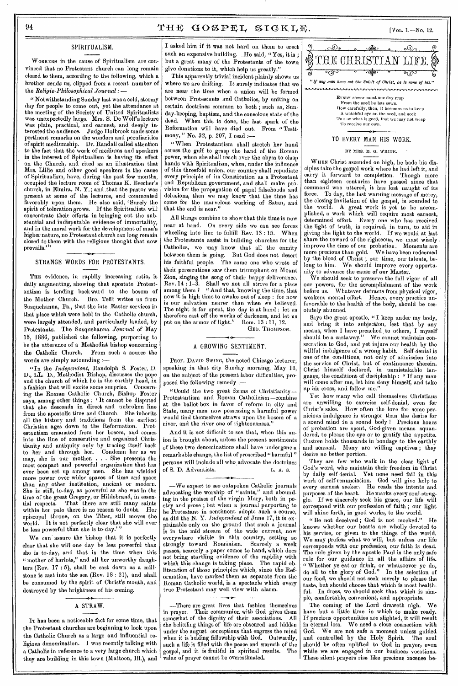# 94  $THF GOSPEL SUSLE$ . [Vol. 1.—No. 12.

## SPIRITUALISM.

WORKERS in the cause of Spiritualism are convinced that no Protestant church can long remain closed to them, according to the following, which a brother sends us, clipped from a recent number of the *Religio-Philosophical Journal : —* 

*"Notwithstanding* Sunday last was a cold, stormy day for people to come out, yet the attendance at the meeting of the Society of United Spiritualists was unexpectedly large. Mrs. S. Do Wolf's lecture was plain, practical, and earnest, and deeply interested the audience. Judge Holbrook made some pertinent remarks on the wonders and peculiarities of spirit mediumship. Dr. Randall called attention to the fact that the work of mediums and speakers in the interest of Spiritualism is having its effect on the Church, and cited as an illustration that Mrs. Lillie and other good speakers in the cause of Spiritualism, have, during the past few months, occupied the lecture room of Thomas K. Beecher's church, in Elmira, N. Y.; and .that the pastor was present at some of the lectures, and commented favorably upon them. He also said, ' Surely the spirit of toleration grows. If the Spiritualists will concentrate their efforts in bringing out the sub stantial and indisputable evidence of immortality, and in the moral work for the development of man's higher nature, no Protestant church can long remain closed to them with the religious thought that now prevails.'''

## STRANGE WORDS FOR PROTESTANTS.

THE evidence, in rapidly increasing ratio, is daily augmenting, showing that apostate Protestantism is tending back ward to the bosom of the Mother Church. Bro. Tefft writes us from Susquehanna, Pa., that the late Easter services in that place which were held in the Catholic church, were largely attended, and particularly lauded, by Protestants. The Susquehanna *Journal* of May 15, 1886, published the following, purporting to be the utterance of a Methodist bishop concerning<br>the Catholic Church. From such a source the From such a source the words are simply astounding :—

"In the *Independent,* Randolph S. Foster, D. D., LL. D., Methodist Bishop, discusses the pope and the church of which he is the earthly head, in a fashion that will excite some surprise. Concerning the Roman Catholic Church, Bishop Foster says, among other things : ' It cannot be disputed that she descends in direct and unbroken line from the apostolic time and Church. She inherits all the history and traditions from the earliest<br>Christian ages down to the Reformation. Prot-Christian ages down to the Reformation. estantism emanated from her bosom, and comes into the line of consecutive and organized Christianity and antiquity only by tracing itself back to her and through her. Condemn her as we may, she is our mother. . . She presents the most compact and powerful organization that has ever been set up among men. She has wielded more power over wider spaces of time and space than any other institution, ancient or modern. She is still, to-day, as powerful as she was in the time of the great Gregory, or Hildebrand, in essential respects. That there are still many saints within her pale there is no reason to doubt. Her episcopal throne, on the Tiber, still moves the world. It is not perfectly clear that she will ever be less powerful than she is to-day.' "

We can assure the bishop that it is perfectly clear that she will one day be less powerful than she is to-day, and that is the time when this " mother of harlots," and all her unworthy daughters (Rev. 17 : 5), shall be cast down as a millstone is cast into the sea (Rev. 18: 21), and shall be consumed by the spirit of Christ's mouth, and destroyed by the brightness of his coming.

# A STRAW.

IT has been a noticeable fact for some time, that the Protestant churches are beginning to look upon the Catholic Church as a large and influential religious denomination. I was recently talking with a Catholic in reference to a very large church which they are building in this town (Mattoon, Ill.), and I asked him if it was not hard on them to erect such an expensive building. He said, "Yes, it is; but a great many of the Protestants of the town give donations to it, which help us greatly."

This apparently trivial incident plainly shows us where we are drifting. It surely indicates that we are near the time when a union will be formed between Protestants and Catholics, by uniting on certain doctrines common to both ; such as, Sunday-keeping, baptism, and the conscious state of the<br>dead. When this is done, the last spark of the When this is done, the last spark of the Reformation will have died out. From "Testimony, " No. 32, p. 207, I read :—

" When Protestantism shall stretch her hand across the gulf to grasp the hand of the Roman power, when she shall reach over the abyss to clasp hands with Spiritualism, when, under the influence of this threefold union, our country shall repudiate every principle of its Constitution as a Protestant and Republican government, and shall make provision for the propagation of papal falsehoods and delusions, then we may know that the time has come for the marvelous working of Satan, and that the end is near."

All things combine to show that this time is now near at hand. On every side we can see forces wheeling into line to fulfill Rev. 13 : 15. When the Protestants assist in building churches for the Catholics, we may know that all the enmity between them is going. But God does not desert his faithful people. The same one who wrote of their persecutions saw them triumphant on Mount Zion, singing the song of their happy deliverance. Rev. 14 : 1-3. Shall we not all strive for a place<br>among them ? "And that, knowing the time, that " And that, knowing the time, that now it is high time to awake out of sleep : for now is our salvation nearer than when we believed. The night is far spent, the day is at hand : let us therefore cast off the works of darkness, and let us put on the armor of light." Rom. 13 : 11, 12.

GEO. THOMPSON.

## A GROWING SENTIMENT.

PROF. DAVID SWING, the noted Chicago lecturer, speaking in that city Sunday morning, May 16, on the subject of the present labor difficulties, proposed the following remedy :—

"Could the two great forms of Christianity— Protestantism and Roman Catholicism—combine at the ballot-box in favor of reform in city and State, many men now possessing a harmful power would find themselves straws upon the bosom of a river, and the river one of righteousness.

And it is not difficult to see that, when this union is brought about, unless the present sentiments of these two denominations shall have undergone a remarkable change, the list of proscribed "harmful " persons will include all who, advocate the doctrines of S. D. Adventists. L. A. S.

—We expect to see outspoken Catholic journals advocating the worship of "saints," and abounding in the praises of the virgin Mary, both in poetry and prose ; but when a journal purporting to be Protestant in sentiment adopts such a course, as did the N. Y. *Independent* of June 17, it is explainable only on the ground that such a journal is in the mid stream of the wide current, now everywhere visible in this country, setting so strongly toward Romanism. Scarcely a week passes, scarcely a paper comes to hand, which does not bring startling evidence of the rapidity with which this change is taking place. The rapid obliteration of those principles which, since the Reformation, have marked them as separate from the Roman Catholic world, is a spectacle which every true Protestant may well view with alarm.

—There are great lives that fashion themselves in prayer. Their communion with God gives them somewhat of the dignity of their associations. All the belittling things of life are obscured and hidden under the august conceptions that engross the mind when it is holding fellowship with God. Outwardly, such a life is filled with the peace and warmth of the gospel, and it is fruitful in spiritual results. The value of prayer cannot be overestimated.



From the seed he has sown. How carefully, then, it becomes us to keep A watchful eye on the seed, and seek To s ;w what is good, that we may not weep To receive our own.

# TO EVERY MAN HIS WORK.

## BY MRS. E. O. WHITE.

WHEN Christ ascended on high, he bade his disciples take the gospel work where he had left it, and carry it forward to completion. Though more than eighteen centuries have passed since that command was uttered, it has lost naught of its force. To day, the last warning message of mercy, the closing invitation of the gospel, is sounded to the world. A great work is yet to be accomplished, a work which will require most earnest, determined effort. Every one who has received the light of truth, is required, in turn, to aid in giving the light to the world. If we would at last share the reward of the righteous, we must wisely improve the time of our probation. Moments are more precious than gold. We have been redeemed by the blood of Christ ; our time, our talents, belong to him. We should improve every opportunity to advance the cause of our Master.

We should seek to preserve the full vigor of all our powers, for the accomplishment of the work before us. 'Whatever detracts from physical vigor, weakens mental effort. Hence, every practice unfavorable to the health of the body, should be resolutely shunned.

Says the great apostle, " I keep under my body, and bring it into subjection, lest that by any means, when I have preached to others, I myself should be a castaway." We cannot maintain consecration to God, and yet injure our health by the willful indulgence of a wrong habit. Self-denial is one of the conditions, not only of admission into the service of Christ, but of continuance therein. Christ himself declared, in unmistakable language, the conditions of discipleship : " If any man will come after me, let him deny himself, and take up his cross, and follow me,"

Yet how many who call themselves Christians are unwilling to exercise self-denial, even for Christ's sake. How often the love for some pernicious indulgence is stronger than the desire for a sound mind in a sound body ! Precious hours of probation are spent, God-given means squandered, to please the eye or to gratify the appetite. Custom holds thousands in bondage to the earthly and sensual. Many are willing captives ; they desire no better portion.

They are few who walk in the clear light of God's word, who maintain their freedom in Christ by daily self-denial. Yet none need fail in this work of self-renunciation. God will give help to every earnest seeker. He reads the intents and purposes of the heart. He marks every soul-struggle. If we sincerely seek his grace, our life will correspond with our profession of faith ; our light will shine forth, in good works, to the world.

" Be not deceived ; God is not mocked." He knows whether our hearts are wholly devoted to his service, or given to the things of the world. We may profess what we will, but unless our life corresponds with our profession, our faith is dead. The rule given by the apostle Paul is the only safe rule for our guidance in all the affairs of life. " Whether ye eat or drink, or whatsoever ye do, do all to the glory of God." In the selection of our food, we should not seek merely to please the taste, but should choose that which is most healthful. In dress, we should seek that which is simple, comfortable, convenient, and appropriate.

The coming of the Lord draweth nigh. We have but a little time in which to make ready. If precious opportunities are slighted, it will result in eternal loss. We need a close connection with God. We are not safe a moment unless guided and controlled by the Holy Spirit. The soul should be often uplifted to God in prayer, oven while we are engaged in our business vocations. These silent prayers rise like precious incense be-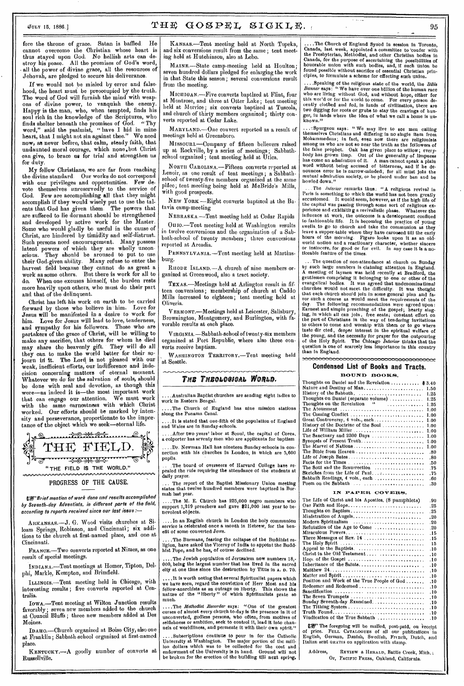fore the throne of grace. Satan is baffled. He cannot overcome the Christian whose heart is thus stayed upon God. No hellish arts can destroy his peace. All the promises of God's word, • all the power of divine grace, all the resources of Jehovah, are pledged to secure his deliverance.

If we would not be misled by error and falsehood, the heart must be preoccupied by the truth, The word of God will furnish the mind with weapons of divine power, to vanquish the enemy. Happy is the man, who, when tempted, finds his soul rich in the knowledge of the Scriptures, who<br>finds shelter beneath the promises of God. "Thy finds shelter beneath the promises of  $\dot{G}$ od. word," said the psalmist, " have I hid in mine heart, that I might not sin against thee." We need now, as never before, that calm, steady faith, that undaunted moral courage, which none.but Christ can give, to brace ue for trial and strengthen us for duty.

My fellow Christians, we are far from reaching the divine standard. Our works do not correspond with our privileges and opportunities. Few devote themselves unreservedly to the service of God. Few are accomplishing all that they might accomplish if they would wisely put to use the talents that God has given them. The powers that are suffered to lie dormant should be strengthened and developed by active work for the Master Some who would gladly be useful in the cause of Christ, are hindered by timidity and self-distrust. Such persons need encouragement. Many possess latent powers of which they are wholly unconscions. They should be aroused to put to use their God-given ability. Many refuse to enter the harvest field because they cannot do as great a work as some others. But there is work for all to do. When one excuses himself, the burden rests more heavily upon others, who must do their part and that of the delinquent.

Christ has left his work on earth to be carried forward by those who believe in him. Love for Jesus will be manifested in a desire to work for him. Love for Jesus will lead to love, tenderness, and sympathy for his followers. Those who are partakers of the grace of Christ, will be willing to make any sacrifice, that others for whom he died may share the heavenly gift. They will do all they can to make the world better for their sojourn in it. The Lord is not pleased with our weak, inefficient efforts, our indifference and indecision concerning matters of eternal moment. Whatever we *do* for the *salvation* of souls, should be done with zeal and devotion, as though this were-as indeed it is-the most important work that can engage our attention. We must work with the same earnestness with which Christ worked. Our efforts should be marked by inten• sity and perseverance, proportionate to the importance of the object which we seek-eternal life.



PROGRESS OF THE CAUSE.

EgrBrief mention of work done and results accomplished by Seventh-day Adventists, in different parts of the field, according to reports received since our last issue :-

according to reports received since our last issue :---<br>ARKANSAS.--J. G. Wood visits churches at Si-<br>loam Springs, Robinson, and Cincinnati; six additions to the church at first-named place, and one at Cincinnati.

FRANCE.-Two converts reported at Nimes, as one result of speoial meetings.

INDIANA.-Tent meetings at Homer, Tipton, Delphi, Markle, Kempton, and Brimfield.

ILLINOIS,-Tent meeting held in Chicago, with interesting results ; five converts reported at Centralia.

IowA.-Tent meeting at Wilton Junction results favorably ; seven new members added to the church at Council Bluffs ; three new members added at Des Moines.

IDA110.-Church organized at Boise City, also one at Franklin; Sabbath-school organized at first-named place

KENTUOKY.--- A goodly number of converts at Russellville.

KANSAS.-Tent meeting held at North Topeka, and six conversions result from the same ; tent meeting held at Hutchinson, also at Lebo.

MAINE.-State camp-meeting held at Houlton; seven hundred dollars pledged for enlarging the work in that State this season; several conversions result from the meeting.

MICHIGAN.-Five converts baptized at Flint, four at Montrose, and three at Otter Lake; tent meeting held at Morrice; six converts baptized at Tuscola, and church of thirty members organized ; thirty converts reported at Cedar Lake.

MARYLAND.-One convert reported as a result of meetings held at Greensboro.

Mrssoum.-Company of fifteen believers raised up at Rockville, by a series of meetings ; Sabbathschool organized ; tent meeting held at Utica.

NORTH CAROLINA.-Fifteen converts reported at Lenoir, as one result of tent meetings; a Sabbathschool of twenty-five members organized at the same plAce; tent meeting being held at McBride's Mills, ith good prospects.

NEW YORK-Eight converts baptized at the Batavia camp-meeting

NEBRASKA -Tent meeting held at Cedar Rapids On10.-Tent meeting held at Washington results in twelve conversions and the organization of a Sabbath-school of twenty members; three conversions reported at Arcadia.

PENNSYLVANIA.-Tent meeting held at Martinsburg.

RHODE ISLAND.-A church of nine members organized at Greenwood, also a tract society.

TEXAS.-Meetings held at Arlington result in fifteen conversions; membership of church at Caddo Mills increased to eighteen ; tent meeting held at Oliveria.

VERMONT.-Meetings held at Leicester, Salisbury, Brownington, Montgomery, and Burlington, with favorable results at each place.

VIRGINIA.-Sabbath-school of twenty-six members organized at Port Republic, where also three con• verts receive baptism.

WASHINGTON TERRITORY.-Tent meeting held at Seattle.

# THE THEOLOGICAL WORLD.

....Australian Baptist churches are sending eight ladies to work in Eastern Bengal.

...The Church of Eugland has nine mission stations along the Panama Canal.

It is stated that one-fifth of the population of England and Wales are in Sunday-schools.

.. \_After two years' labor at Seoul, the capital of Corea, a colporter has seventy men who are applicants for baptism

.Dr. Newman Hall has nineteen Sunday-schools in con• nection with his churches in London, in which are 5,600 pupils.

.The board of overseers of Harvard College have re-pealed the rule requiring the attendance of the students at *dally* prayer.

. The report of the Baptist Missionary Union meeting states that twelve hundred members were baptized in Burmah last year.

...The M. E. Church has 225,000 negro members who support 1,219 preachers and gave \$21,000 last year to benevolent objects.

In an English church in London the holy communion service is celebrated once a month in Hebrew, for the benefit of some converted Jews.

....The Burmans, fearing the collapse of the Buddhist re-ligion, have asked the Viceroy of India to appoint the Budd-hist Pope, and he has, of course declined.

..The Jewish population of Jerusalem now numbers 18,-000, being the largest number that has lived in the sacred city at one time since the destruction by Titus in A. D. 70.

....It is worth noting that several Spiritualist papers which we have seen, regard the conviction of Herr Most and his fellow-anarchists as an outrage on liberty. This shows the nature of the "liberty" of which Spiritualists prate so much, '

....The *Methodist Recorder* says: "One of the greatest<br>curses of almost every church to-day is the presence in it of<br>unconverted, godiess persons, who often, from motives of<br>selfishness or ambition, seek to control it, le nels of worldliness, and permeate it with their own spirit."

....Subscriptions continue to pour in for the Catholic University at Washington. The major portion of the mill-ion dollars which was to be collected for the cost and endowment of the University is in hand. Ground will not be broken for the erection of the building till next spring.

....The Church of England Synbd in session in Toronto, Canada, last week, appointed a committee to 'confer with the Presbyterian, Methodist, and other Christian bodies in Canada, for the purpose of ascertaining the possibilities of<br>houorable union with such bodies, and, if such union be<br>found possible without sacrifice of essential Christian prin-<br>ciples, to formulate a scheme for effecting

....Speaking of the religious state of the world, the *Bible Banner* says: " We have over one billion of the human race who are living without God, aud without hope, either for<br>this wor'd or for the world to come. For every person de-<br>cently clothed and fed, in lands of civilization, there are two digging for roots or grubs to stay the cravings of hunger, in lands where the idea of what we call a home is unknown."

... Spurgeou says: "We may live to see men calling<br>themselves Christians and differing in no single item from<br>Mohammedans; in fact, even now there are religionists<br>among us who are not so near the truth as the followers of the false prophet. Oak has given place to willow; every-<br>body has grown limp. Out of the generality of limpness<br>has come an admiration of it. A man cannot speak a plain<br>word without being accused of bitterness, and if he d

. The *Interior* remarks thus; "A religious revival in Paris is something to which the world has not been greatly accustomed. It would seem, however, as if the high life of the capital was passing through some sort of religious ex-perience and exhibithig a revivalistic phase. Whatever the influence at work, the outcome is a development confined to fashionable life. It is becoming the practice of young swells to go to church and take the communion as they leave a supper-table where they have caroused till the early hours of the morning. Figaro looks upon it as an old-world notton and a reactionary character, whether sincere or insincere, for good or for evil. In any case it

...The question of non-attendance at church on Sunday by such large numbers is claiming attention in England. A meeting of laymen was held recently at Bradford, the gentlemen comprising it belonging to one or other of the evangelical bodies. It was agreed that undenominational<br>clurches would not meet the difficulty. It was thought<br>that each church should join in some general plan and fa-<br>vor such a course as would meet the requirements of t taste dir cted, deeper interest in the spiritual welfare of the young, and the necessity for prayer for the outpouring of the Holy Spirit. The Chicago *Interior* thinks that the question is one of scarcely less importance in this country than in England.

## **Condensed List of Books and Tracts. BOUND BOOKS.**

| Thoughts on Daniel and the Revelation  \$3.40 |
|-----------------------------------------------|
| Nature and Destiny of Man<br>1.50             |
| History of the Sabbath.<br>1.25               |
| Thoughts on Daniel (separate volume)<br>1.25  |
| Thoughts on the Revelation "<br>1.25          |
| The Atouement<br>1.00                         |
| The Coming Conflict<br>1.00                   |
| Great Controversy, 4 vols., each<br>1.00      |
| History of the Doctrine of the Soul<br>1.00   |
| Life of William Miller<br>1.00                |
| The Sanctuary and 2300 Days<br>1.00           |
| Synopsis of Present Truth<br>1.00             |
| The Marvel of Nations<br>1.00                 |
| The Bible from Heaven<br>.80                  |
| Life of Joseph Bates<br>.80                   |
| .50                                           |
| The Soul and the Resurrection<br>-75          |
| Sketches from the Life of Paul<br>. 75        |
| Sabbath Readings, 4 vols., each<br>.60        |
| Poem on the Sabbath<br>.30                    |

#### IN PAPER COVERS.

| The Life of Christ and his Aposties, (8 pamphlets) | .90  |
|----------------------------------------------------|------|
| Our Faith and Hope                                 | .25  |
| Thoughts on Baptism                                | .25  |
| Ministration of Augels,                            | .20  |
| Modern Spiritualism                                | .20  |
| Refutation of the Age to Come                      | .20  |
| Miraculous Powers                                  | .15  |
| Three Messages of Rev. 14                          | .15  |
| The Holy Spirit                                    | 15   |
| Appeal to the Baptists.                            | .10  |
| Christ in the Old Testament                        | .10  |
| Hope of the Gospel                                 | .10  |
| Inheritance of the Saints                          |      |
|                                                    | .10  |
|                                                    | .10  |
|                                                    | .10  |
| Position and Work of the True People of God        | .10  |
| Redeemer and Redeemed                              | .10  |
|                                                    | .10  |
| The Seven Trumpets                                 | .10  |
| Sunday Seventh-day Examined.                       | .10  |
| The Tithing System                                 | .10  |
| Truth Found                                        | . 10 |
| Vindication of the True Sabbath                    | .10  |
|                                                    |      |

UF The foregoing will be mailed, post-paid, on receipt<br>of price. FuLt. CATALOGUES of all our publications in<br>English, German, Danish, Swedish, French, Dutch, and<br>Italian sent GRATIS on application with stamp.

Address, REVIEW & HERALD, Battle Creek, Mich. ; Or, PACIFIC PRESS, Oakland, California.